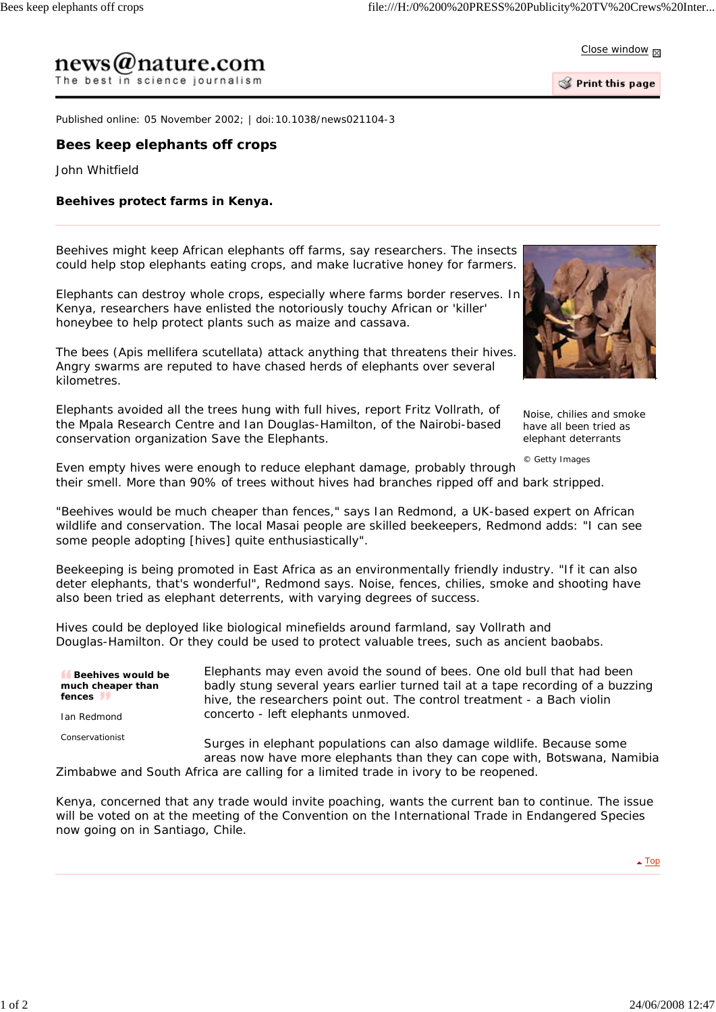Close window **M** 

## $news@nature.com$ The best in science journalism

Print this page

Published online: 05 November 2002; | doi:10.1038/news021104-3

## **Bees keep elephants off crops**

John Whitfield

## **Beehives protect farms in Kenya.**

Beehives might keep African elephants off farms, say researchers. The insects could help stop elephants eating crops, and make lucrative honey for farmers.

Elephants can destroy whole crops, especially where farms border reserves. In Kenya, researchers have enlisted the notoriously touchy African or 'killer' honeybee to help protect plants such as maize and cassava.

The bees (*Apis mellifera scutellata*) attack anything that threatens their hives. Angry swarms are reputed to have chased herds of elephants over several kilometres.

Elephants avoided all the trees hung with full hives, report Fritz Vollrath, of the Mpala Research Centre and Ian Douglas-Hamilton, of the Nairobi-based conservation organization Save the Elephants.

have all been tried as elephant deterrants *© Getty Images*

Noise, chilies and smoke

Even empty hives were enough to reduce elephant damage, probably through their smell. More than 90% of trees without hives had branches ripped off and bark stripped.

"Beehives would be much cheaper than fences," says Ian Redmond, a UK-based expert on African wildlife and conservation. The local Masai people are skilled beekeepers, Redmond adds: "I can see some people adopting [hives] quite enthusiastically".

Beekeeping is being promoted in East Africa as an environmentally friendly industry. "If it can also deter elephants, that's wonderful", Redmond says. Noise, fences, chilies, smoke and shooting have also been tried as elephant deterrents, with varying degrees of success.

Hives could be deployed like biological minefields around farmland, say Vollrath and Douglas-Hamilton. Or they could be used to protect valuable trees, such as ancient baobabs.

| Beehives would be<br>much cheaper than<br>fences | Elephants may even avoid the sound of bees. One old bull that had been<br>badly stung several years earlier turned tail at a tape recording of a buzzing<br>hive, the researchers point out. The control treatment - a Bach violin |
|--------------------------------------------------|------------------------------------------------------------------------------------------------------------------------------------------------------------------------------------------------------------------------------------|
| Ian Redmond                                      | concerto - left elephants unmoved.                                                                                                                                                                                                 |
| Conservationist                                  | Surges in elephant populations can also damage wildlife. Because some<br>areas now have more elephants than they can cope with, Botswana, Namibia                                                                                  |

Zimbabwe and South Africa are calling for a limited trade in ivory to be reopened.

Kenya, concerned that any trade would invite poaching, wants the current ban to continue. The issue will be voted on at the meeting of the Convention on the International Trade in Endangered Species now going on in Santiago, Chile.

▲ Top